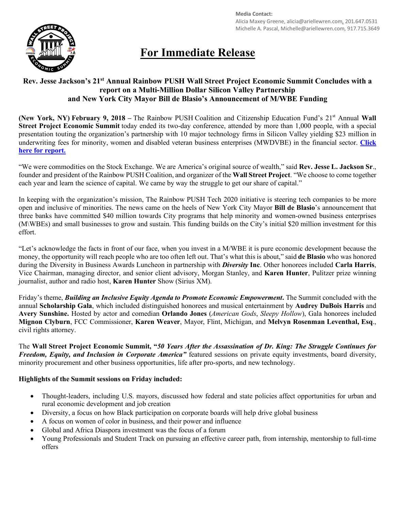

**Media Contact:** Alicia Maxey Greene, alicia@ariellewren.com, 201.647.0531 Michelle A. Pascal, Michelle@ariellewren.com, 917.715.3649

# **For Immediate Release**

## **Rev. Jesse Jackson's 21st Annual Rainbow PUSH Wall Street Project Economic Summit Concludes with a report on a Multi-Million Dollar Silicon Valley Partnership and New York City Mayor Bill de Blasio's Announcement of M/WBE Funding**

**(New York, NY) February 9, 2018** – The Rainbow PUSH Coalition and Citizenship Education Fund's 21<sup>st</sup> Annual Wall **Street Project Economic Summit** today ended its two-day conference, attended by more than 1,000 people, with a special presentation touting the organization's partnership with 10 major technology firms in Silicon Valley yielding \$23 million in underwriting fees for minority, women and disabled veteran business enterprises (MWDVBE) in the financial sector. **Click here for report.**

"We were commodities on the Stock Exchange. We are America's original source of wealth," said **Rev. Jesse L. Jackson Sr**., founder and president of the Rainbow PUSH Coalition, and organizer of the **Wall Street Project**. "We choose to come together each year and learn the science of capital. We came by way the struggle to get our share of capital."

In keeping with the organization's mission, The Rainbow PUSH Tech 2020 initiative is steering tech companies to be more open and inclusive of minorities. The news came on the heels of New York City Mayor **Bill de Blasio**'s announcement that three banks have committed \$40 million towards City programs that help minority and women-owned business enterprises (M\WBEs) and small businesses to grow and sustain. This funding builds on the City's initial \$20 million investment for this effort.

"Let's acknowledge the facts in front of our face, when you invest in a M/WBE it is pure economic development because the money, the opportunity will reach people who are too often left out. That's what this is about," said **de Blasio** who was honored during the Diversity in Business Awards Luncheon in partnership with *Diversity* **Inc**. Other honorees included **Carla Harris**, Vice Chairman, managing director, and senior client advisory, Morgan Stanley, and **Karen Hunter**, Pulitzer prize winning journalist, author and radio host, **Karen Hunter** Show (Sirius XM).

Friday's theme, *Building an Inclusive Equity Agenda to Promote Economic Empowerment***.** The Summit concluded with the annual **Scholarship Gala**, which included distinguished honorees and musical entertainment by **Audrey DuBois Harris** and **Avery Sunshine.** Hosted by actor and comedian **Orlando Jones** (*American Gods*, *Sleepy Hollow*), Gala honorees included **Mignon Clyburn**, FCC Commissioner, **Karen Weaver**, Mayor, Flint, Michigan, and **Melvyn Rosenman Leventhal, Esq**., civil rights attorney.

The **Wall Street Project Economic Summit, "***50 Years After the Assassination of Dr. King: The Struggle Continues for Freedom, Equity, and Inclusion in Corporate America"* featured sessions on private equity investments, board diversity, minority procurement and other business opportunities, life after pro-sports, and new technology.

### **Highlights of the Summit sessions on Friday included:**

- Thought-leaders, including U.S. mayors, discussed how federal and state policies affect opportunities for urban and rural economic development and job creation
- Diversity, a focus on how Black participation on corporate boards will help drive global business
- A focus on women of color in business, and their power and influence
- Global and Africa Diaspora investment was the focus of a forum
- Young Professionals and Student Track on pursuing an effective career path, from internship, mentorship to full-time offers